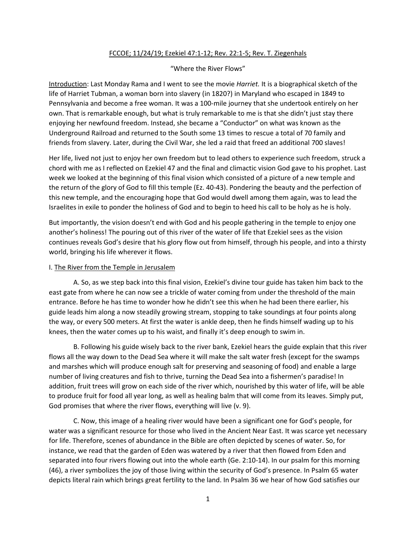## FCCOE; 11/24/19; Ezekiel 47:1-12; Rev. 22:1-5; Rev. T. Ziegenhals

## "Where the River Flows"

Introduction: Last Monday Rama and I went to see the movie *Harriet.* It is a biographical sketch of the life of Harriet Tubman, a woman born into slavery (in 1820?) in Maryland who escaped in 1849 to Pennsylvania and become a free woman. It was a 100-mile journey that she undertook entirely on her own. That is remarkable enough, but what is truly remarkable to me is that she didn't just stay there enjoying her newfound freedom. Instead, she became a "Conductor" on what was known as the Underground Railroad and returned to the South some 13 times to rescue a total of 70 family and friends from slavery. Later, during the Civil War, she led a raid that freed an additional 700 slaves!

Her life, lived not just to enjoy her own freedom but to lead others to experience such freedom, struck a chord with me as I reflected on Ezekiel 47 and the final and climactic vision God gave to his prophet. Last week we looked at the beginning of this final vision which consisted of a picture of a new temple and the return of the glory of God to fill this temple (Ez. 40-43). Pondering the beauty and the perfection of this new temple, and the encouraging hope that God would dwell among them again, was to lead the Israelites in exile to ponder the holiness of God and to begin to heed his call to be holy as he is holy.

But importantly, the vision doesn't end with God and his people gathering in the temple to enjoy one another's holiness! The pouring out of this river of the water of life that Ezekiel sees as the vision continues reveals God's desire that his glory flow out from himself, through his people, and into a thirsty world, bringing his life wherever it flows.

## I. The River from the Temple in Jerusalem

A. So, as we step back into this final vision, Ezekiel's divine tour guide has taken him back to the east gate from where he can now see a trickle of water coming from under the threshold of the main entrance. Before he has time to wonder how he didn't see this when he had been there earlier, his guide leads him along a now steadily growing stream, stopping to take soundings at four points along the way, or every 500 meters. At first the water is ankle deep, then he finds himself wading up to his knees, then the water comes up to his waist, and finally it's deep enough to swim in.

B. Following his guide wisely back to the river bank, Ezekiel hears the guide explain that this river flows all the way down to the Dead Sea where it will make the salt water fresh (except for the swamps and marshes which will produce enough salt for preserving and seasoning of food) and enable a large number of living creatures and fish to thrive, turning the Dead Sea into a fishermen's paradise! In addition, fruit trees will grow on each side of the river which, nourished by this water of life, will be able to produce fruit for food all year long, as well as healing balm that will come from its leaves. Simply put, God promises that where the river flows, everything will live (v. 9).

C. Now, this image of a healing river would have been a significant one for God's people, for water was a significant resource for those who lived in the Ancient Near East. It was scarce yet necessary for life. Therefore, scenes of abundance in the Bible are often depicted by scenes of water. So, for instance, we read that the garden of Eden was watered by a river that then flowed from Eden and separated into four rivers flowing out into the whole earth (Ge. 2:10-14). In our psalm for this morning (46), a river symbolizes the joy of those living within the security of God's presence. In Psalm 65 water depicts literal rain which brings great fertility to the land. In Psalm 36 we hear of how God satisfies our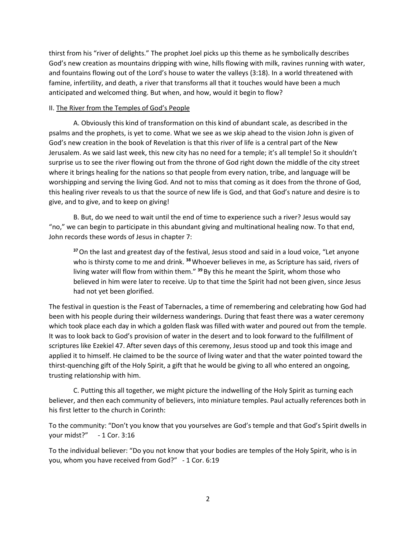thirst from his "river of delights." The prophet Joel picks up this theme as he symbolically describes God's new creation as mountains dripping with wine, hills flowing with milk, ravines running with water, and fountains flowing out of the Lord's house to water the valleys (3:18). In a world threatened with famine, infertility, and death, a river that transforms all that it touches would have been a much anticipated and welcomed thing. But when, and how, would it begin to flow?

## II. The River from the Temples of God's People

A. Obviously this kind of transformation on this kind of abundant scale, as described in the psalms and the prophets, is yet to come. What we see as we skip ahead to the vision John is given of God's new creation in the book of Revelation is that this river of life is a central part of the New Jerusalem. As we said last week, this new city has no need for a temple; it's all temple! So it shouldn't surprise us to see the river flowing out from the throne of God right down the middle of the city street where it brings healing for the nations so that people from every nation, tribe, and language will be worshipping and serving the living God. And not to miss that coming as it does from the throne of God, this healing river reveals to us that the source of new life is God, and that God's nature and desire is to give, and to give, and to keep on giving!

B. But, do we need to wait until the end of time to experience such a river? Jesus would say "no," we can begin to participate in this abundant giving and multinational healing now. To that end, John records these words of Jesus in chapter 7:

**<sup>37</sup>**On the last and greatest day of the festival, Jesus stood and said in a loud voice, "Let anyone who is thirsty come to me and drink. **<sup>38</sup>**Whoever believes in me, as Scripture has said, rivers of living water will flow from within them." **<sup>39</sup>** By this he meant the Spirit, whom those who believed in him were later to receive. Up to that time the Spirit had not been given, since Jesus had not yet been glorified.

The festival in question is the Feast of Tabernacles, a time of remembering and celebrating how God had been with his people during their wilderness wanderings. During that feast there was a water ceremony which took place each day in which a golden flask was filled with water and poured out from the temple. It was to look back to God's provision of water in the desert and to look forward to the fulfillment of scriptures like Ezekiel 47. After seven days of this ceremony, Jesus stood up and took this image and applied it to himself. He claimed to be the source of living water and that the water pointed toward the thirst-quenching gift of the Holy Spirit, a gift that he would be giving to all who entered an ongoing, trusting relationship with him.

C. Putting this all together, we might picture the indwelling of the Holy Spirit as turning each believer, and then each community of believers, into miniature temples. Paul actually references both in his first letter to the church in Corinth:

To the community: "Don't you know that you yourselves are God's temple and that God's Spirit dwells in your midst?" - 1 Cor. 3:16

To the individual believer: "Do you not know that your bodies are temples of the Holy Spirit, who is in you, whom you have received from God?" - 1 Cor. 6:19